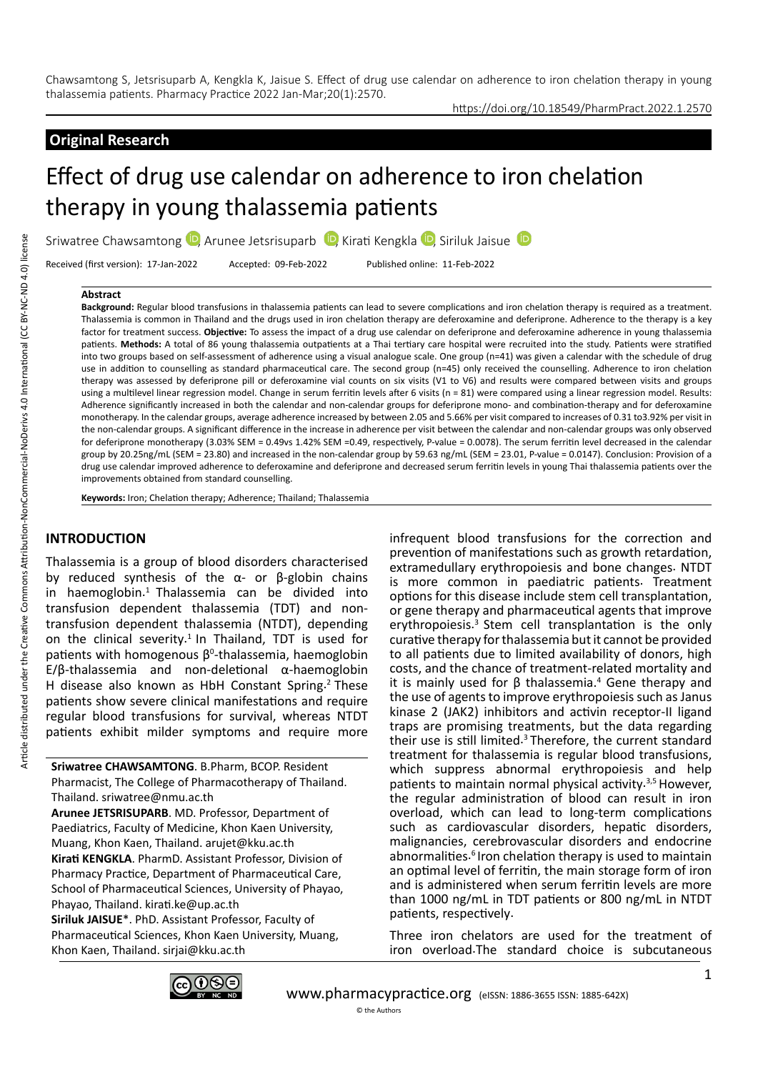# **Original Research**

https://doi.org/10.18549/PharmPract.2022.1.2570

# Effect of drug use calendar on adherence to iron chelation therapy in young thalassemia patients

Sriwatree Chawsamtong  $\mathbb D$ [,](https://orcid.org/0000-0002-8013-0993) Arunee Jetsrisuparb  $\mathbb D$ , Kirati Kengkla  $\mathbb D$ , Siriluk Jaisue  $\mathbb D$ 

Received (first version): 17-Jan-2022 Accepted: 09-Feb-2022 Published online: 11-Feb-2022

#### **Abstract**

**Background:** Regular blood transfusions in thalassemia patients can lead to severe complications and iron chelation therapy is required as a treatment. Thalassemia is common in Thailand and the drugs used in iron chelation therapy are deferoxamine and deferiprone. Adherence to the therapy is a key factor for treatment success. **Objective:** To assess the impact of a drug use calendar on deferiprone and deferoxamine adherence in young thalassemia patients. **Methods:** A total of 86 young thalassemia outpatients at a Thai tertiary care hospital were recruited into the study. Patients were stratified into two groups based on self-assessment of adherence using a visual analogue scale. One group (n=41) was given a calendar with the schedule of drug use in addition to counselling as standard pharmaceutical care. The second group (n=45) only received the counselling. Adherence to iron chelation therapy was assessed by deferiprone pill or deferoxamine vial counts on six visits (V1 to V6) and results were compared between visits and groups using a multilevel linear regression model. Change in serum ferritin levels after 6 visits (n = 81) were compared using a linear regression model. Results: Adherence significantly increased in both the calendar and non-calendar groups for deferiprone mono- and combination-therapy and for deferoxamine monotherapy. In the calendar groups, average adherence increased by between 2.05 and 5.66% per visit compared to increases of 0.31 to3.92% per visit in the non-calendar groups. A significant difference in the increase in adherence per visit between the calendar and non-calendar groups was only observed for deferiprone monotherapy (3.03% SEM = 0.49vs 1.42% SEM =0.49, respectively, P-value = 0.0078). The serum ferritin level decreased in the calendar group by 20.25ng/mL (SEM = 23.80) and increased in the non-calendar group by 59.63 ng/mL (SEM = 23.01, P-value = 0.0147). Conclusion: Provision of a drug use calendar improved adherence to deferoxamine and deferiprone and decreased serum ferritin levels in young Thai thalassemia patients over the improvements obtained from standard counselling.

**Keywords:** Iron; Chelation therapy; Adherence; Thailand; Thalassemia

# **INTRODUCTION**

Thalassemia is a group of blood disorders characterised by reduced synthesis of the α- or β-globin chains in haemoglobin.<sup>1</sup> Thalassemia can be divided into transfusion dependent thalassemia (TDT) and nontransfusion dependent thalassemia (NTDT), depending on the clinical severity.<sup>1</sup> In Thailand, TDT is used for patients with homogenous  $\beta^0$ -thalassemia, haemoglobin E/β-thalassemia and non-deletional α-haemoglobin H disease also known as HbH Constant Spring.2 These patients show severe clinical manifestations and require regular blood transfusions for survival, whereas NTDT patients exhibit milder symptoms and require more

**Sriwatree CHAWSAMTONG**. B.Pharm, BCOP. Resident Pharmacist, The College of Pharmacotherapy of Thailand. Thailand. sriwatree@nmu.ac.th

**Arunee JETSRISUPARB**. MD. Professor, Department of Paediatrics, Faculty of Medicine, Khon Kaen University, Muang, Khon Kaen, Thailand. arujet@kku.ac.th **Kirati KENGKLA**. PharmD. Assistant Professor, Division of Pharmacy Practice, Department of Pharmaceutical Care, School of Pharmaceutical Sciences, University of Phayao, Phayao, Thailand. kirati.ke@up.ac.th

**Siriluk JAISUE**\*. PhD. Assistant Professor, Faculty of Pharmaceutical Sciences, Khon Kaen University, Muang, Khon Kaen, Thailand. sirjai@kku.ac.th

infrequent blood transfusions for the correction and prevention of manifestations such as growth retardation, extramedullary erythropoiesis and bone changes. NTDT is more common in paediatric patients. Treatment options for this disease include stem cell transplantation, or gene therapy and pharmaceutical agents that improve erythropoiesis.3 Stem cell transplantation is the only curative therapy for thalassemia but it cannot be provided to all patients due to limited availability of donors, high costs, and the chance of treatment-related mortality and it is mainly used for  $β$  thalassemia.<sup>4</sup> Gene therapy and the use of agents to improve erythropoiesis such as Janus kinase 2 (JAK2) inhibitors and activin receptor-II ligand traps are promising treatments, but the data regarding their use is still limited.3 Therefore, the current standard treatment for thalassemia is regular blood transfusions, which suppress abnormal erythropoiesis and help patients to maintain normal physical activity.<sup>3,5</sup> However, the regular administration of blood can result in iron overload, which can lead to long-term complications such as cardiovascular disorders, hepatic disorders, malignancies, cerebrovascular disorders and endocrine abnormalities.<sup>6</sup> Iron chelation therapy is used to maintain an optimal level of ferritin, the main storage form of iron and is administered when serum ferritin levels are more than 1000 ng/mL in TDT patients or 800 ng/mL in NTDT patients, respectively.

Three iron chelators are used for the treatment of iron overload.The standard choice is subcutaneous

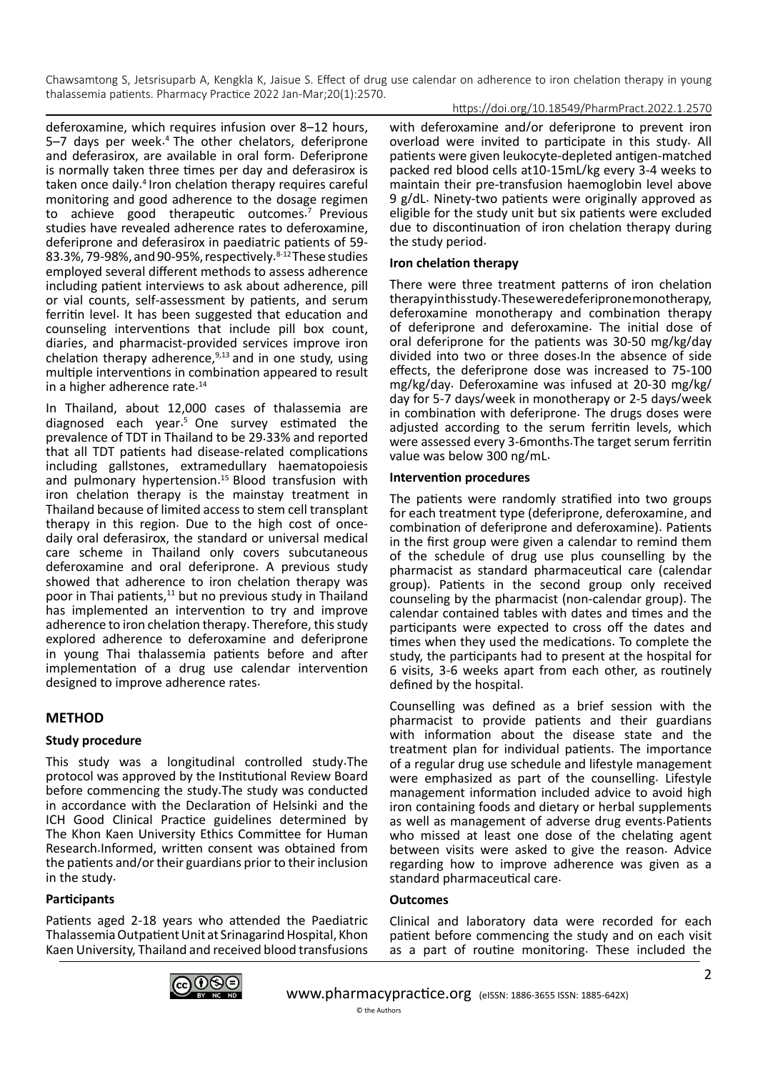#### https://doi.org/10.18549/PharmPract.2022.1.2570

deferoxamine, which requires infusion over 8–12 hours,  $5-7$  days per week.<sup>4</sup> The other chelators, deferiprone and deferasirox, are available in oral form. Deferiprone is normally taken three times per day and deferasirox is taken once daily.4 Iron chelation therapy requires careful monitoring and good adherence to the dosage regimen to achieve good therapeutic outcomes.<sup>7</sup> Previous studies have revealed adherence rates to deferoxamine, deferiprone and deferasirox in paediatric patients of 59- 83.3%, 79-98%, and 90-95%, respectively.<sup>8-12</sup> These studies employed several different methods to assess adherence including patient interviews to ask about adherence, pill or vial counts, self-assessment by patients, and serum ferritin level. It has been suggested that education and counseling interventions that include pill box count, diaries, and pharmacist-provided services improve iron chelation therapy adherence, $9,13$  and in one study, using multiple interventions in combination appeared to result in a higher adherence rate.<sup>14</sup>

In Thailand, about 12,000 cases of thalassemia are diagnosed each year.5 One survey estimated the prevalence of TDT in Thailand to be 29.33% and reported that all TDT patients had disease-related complications including gallstones, extramedullary haematopoiesis and pulmonary hypertension.<sup>15</sup> Blood transfusion with iron chelation therapy is the mainstay treatment in Thailand because of limited access to stem cell transplant therapy in this region. Due to the high cost of oncedaily oral deferasirox, the standard or universal medical care scheme in Thailand only covers subcutaneous deferoxamine and oral deferiprone. A previous study showed that adherence to iron chelation therapy was poor in Thai patients, $11$  but no previous study in Thailand has implemented an intervention to try and improve adherence to iron chelation therapy. Therefore, this study explored adherence to deferoxamine and deferiprone in young Thai thalassemia patients before and after implementation of a drug use calendar intervention designed to improve adherence rates.

# **METHOD**

## **Study procedure**

This study was a longitudinal controlled study.The protocol was approved by the Institutional Review Board before commencing the study.The study was conducted in accordance with the Declaration of Helsinki and the ICH Good Clinical Practice guidelines determined by The Khon Kaen University Ethics Committee for Human Research.Informed, written consent was obtained from the patients and/or their guardians prior to their inclusion in the study.

## **Participants**

Patients aged 2-18 years who attended the Paediatric Thalassemia Outpatient Unit at Srinagarind Hospital, Khon Kaen University, Thailand and received blood transfusions with deferoxamine and/or deferiprone to prevent iron overload were invited to participate in this study. All patients were given leukocyte-depleted antigen-matched packed red blood cells at10-15mL/kg every 3-4 weeks to maintain their pre-transfusion haemoglobin level above 9 g/dL. Ninety-two patients were originally approved as eligible for the study unit but six patients were excluded due to discontinuation of iron chelation therapy during the study period.

## **Iron chelation therapy**

There were three treatment patterns of iron chelation therapy in this study. These were deferiprone monotherapy, deferoxamine monotherapy and combination therapy of deferiprone and deferoxamine. The initial dose of oral deferiprone for the patients was 30-50 mg/kg/day divided into two or three doses.In the absence of side effects, the deferiprone dose was increased to 75-100 mg/kg/day. Deferoxamine was infused at 20-30 mg/kg/ day for 5-7 days/week in monotherapy or 2-5 days/week in combination with deferiprone. The drugs doses were adjusted according to the serum ferritin levels, which were assessed every 3-6months.The target serum ferritin value was below 300 ng/mL.

#### **Intervention procedures**

The patients were randomly stratified into two groups for each treatment type (deferiprone, deferoxamine, and combination of deferiprone and deferoxamine). Patients in the first group were given a calendar to remind them of the schedule of drug use plus counselling by the pharmacist as standard pharmaceutical care (calendar group). Patients in the second group only received counseling by the pharmacist (non-calendar group). The calendar contained tables with dates and times and the participants were expected to cross off the dates and times when they used the medications. To complete the study, the participants had to present at the hospital for 6 visits, 3-6 weeks apart from each other, as routinely defined by the hospital.

Counselling was defined as a brief session with the pharmacist to provide patients and their guardians with information about the disease state and the treatment plan for individual patients. The importance of a regular drug use schedule and lifestyle management were emphasized as part of the counselling. Lifestyle management information included advice to avoid high iron containing foods and dietary or herbal supplements as well as management of adverse drug events.Patients who missed at least one dose of the chelating agent between visits were asked to give the reason. Advice regarding how to improve adherence was given as a standard pharmaceutical care.

## **Outcomes**

Clinical and laboratory data were recorded for each patient before commencing the study and on each visit as a part of routine monitoring. These included the

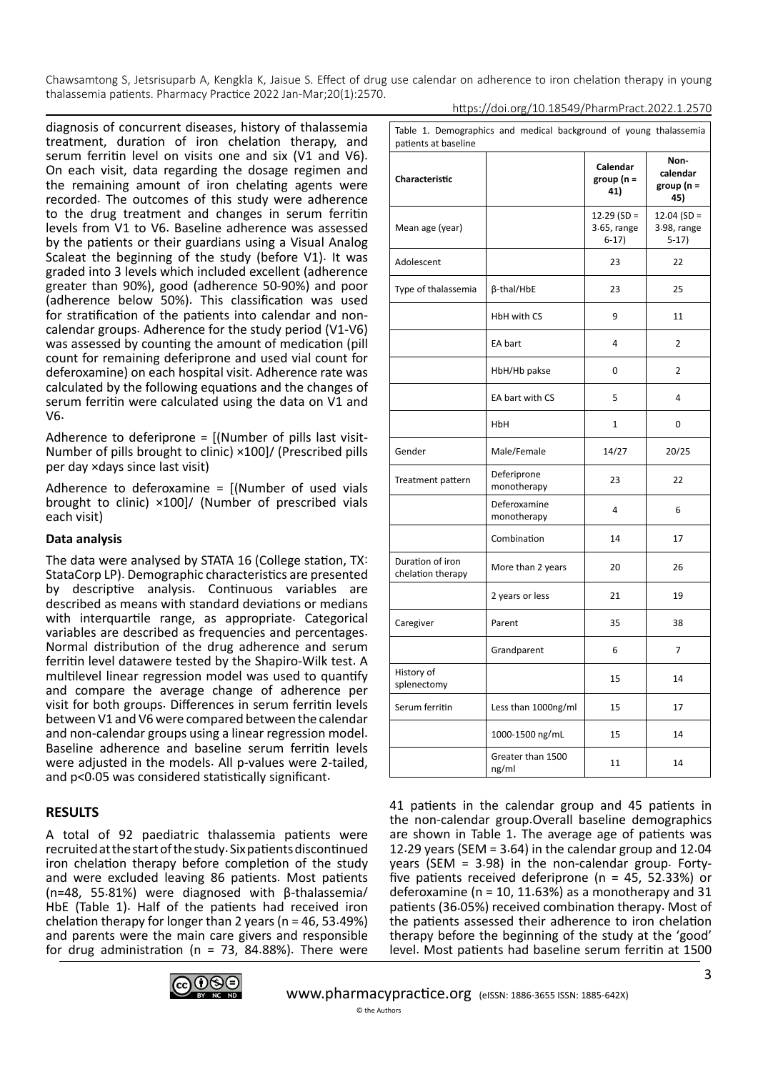https://doi.org/10.18549/PharmPract.2022.1.2570

diagnosis of concurrent diseases, history of thalassemia treatment, duration of iron chelation therapy, and serum ferritin level on visits one and six (V1 and V6). On each visit, data regarding the dosage regimen and the remaining amount of iron chelating agents were recorded. The outcomes of this study were adherence to the drug treatment and changes in serum ferritin levels from V1 to V6. Baseline adherence was assessed by the patients or their guardians using a Visual Analog Scaleat the beginning of the study (before V1). It was graded into 3 levels which included excellent (adherence greater than 90%), good (adherence 50-90%) and poor (adherence below 50%). This classification was used for stratification of the patients into calendar and noncalendar groups. Adherence for the study period (V1-V6) was assessed by counting the amount of medication (pill count for remaining deferiprone and used vial count for deferoxamine) on each hospital visit. Adherence rate was calculated by the following equations and the changes of serum ferritin were calculated using the data on V1 and V6.

Adherence to deferiprone = [(Number of pills last visit-Number of pills brought to clinic) ×100]/ (Prescribed pills per day ×days since last visit)

Adherence to deferoxamine =  $[$ (Number of used vials brought to clinic) ×100]/ (Number of prescribed vials each visit)

## **Data analysis**

The data were analysed by STATA 16 (College station, TX: StataCorp LP). Demographic characteristics are presented by descriptive analysis. Continuous variables are described as means with standard deviations or medians with interquartile range, as appropriate. Categorical variables are described as frequencies and percentages. Normal distribution of the drug adherence and serum ferritin level datawere tested by the Shapiro-Wilk test. A multilevel linear regression model was used to quantify and compare the average change of adherence per visit for both groups. Differences in serum ferritin levels between V1 and V6 were compared between the calendar and non-calendar groups using a linear regression model. Baseline adherence and baseline serum ferritin levels were adjusted in the models. All p-values were 2-tailed, and p<0.05 was considered statistically significant.

# **RESULTS**

A total of 92 paediatric thalassemia patients were recruited at the start of the study. Six patients discontinued iron chelation therapy before completion of the study and were excluded leaving 86 patients. Most patients (n=48, 55.81%) were diagnosed with β-thalassemia/ HbE (Table 1). Half of the patients had received iron chelation therapy for longer than 2 years (n = 46, 53.49%) and parents were the main care givers and responsible for drug administration ( $n = 73$ , 84.88%). There were

| Table 1. Demographics and medical background of young thalassemia<br>patients at baseline |                             |                                         |                                         |  |  |
|-------------------------------------------------------------------------------------------|-----------------------------|-----------------------------------------|-----------------------------------------|--|--|
| Characteristic                                                                            |                             | Calendar<br>group ( $n =$<br>41)        | Non-<br>calendar<br>group (n =<br>45)   |  |  |
| Mean age (year)                                                                           |                             | $12.29$ (SD =<br>3.65, range<br>$6-17)$ | $12.04$ (SD =<br>3.98, range<br>$5-17)$ |  |  |
| Adolescent                                                                                |                             | 23                                      | 22                                      |  |  |
| Type of thalassemia                                                                       | β-thal/HbE                  | 23                                      | 25                                      |  |  |
|                                                                                           | HbH with CS                 | 9                                       | 11                                      |  |  |
|                                                                                           | EA bart                     | 4                                       | $\overline{2}$                          |  |  |
|                                                                                           | HbH/Hb pakse                | 0                                       | $\overline{2}$                          |  |  |
|                                                                                           | EA bart with CS             | 5                                       | $\overline{\mathbf{4}}$                 |  |  |
|                                                                                           | HbH                         | 1                                       | 0                                       |  |  |
| Gender                                                                                    | Male/Female                 | 14/27                                   | 20/25                                   |  |  |
| Treatment pattern                                                                         | Deferiprone<br>monotherapy  | 23                                      | 22                                      |  |  |
|                                                                                           | Deferoxamine<br>monotherapy | 4                                       | 6                                       |  |  |
|                                                                                           | Combination                 | 14                                      | 17                                      |  |  |
| Duration of iron<br>chelation therapy                                                     | More than 2 years           | 20                                      | 26                                      |  |  |
|                                                                                           | 2 years or less             | 21                                      | 19                                      |  |  |
| Caregiver                                                                                 | Parent                      | 35                                      | 38                                      |  |  |
|                                                                                           | Grandparent                 | 6                                       | $\overline{7}$                          |  |  |
| History of<br>splenectomy                                                                 |                             | 15                                      | 14                                      |  |  |
| Serum ferritin                                                                            | Less than 1000ng/ml         | 15                                      | 17                                      |  |  |
|                                                                                           | 1000-1500 ng/mL             | 15                                      | 14                                      |  |  |
|                                                                                           | Greater than 1500<br>ng/ml  | 11                                      | 14                                      |  |  |

41 patients in the calendar group and 45 patients in the non-calendar group.Overall baseline demographics are shown in Table 1. The average age of patients was 12.29 years (SEM = 3.64) in the calendar group and 12.04 years (SEM = 3.98) in the non-calendar group. Fortyfive patients received deferiprone (n = 45, 52.33%) or deferoxamine ( $n = 10$ , 11.63%) as a monotherapy and 31 patients (36.05%) received combination therapy. Most of the patients assessed their adherence to iron chelation therapy before the beginning of the study at the 'good' level. Most patients had baseline serum ferritin at 1500

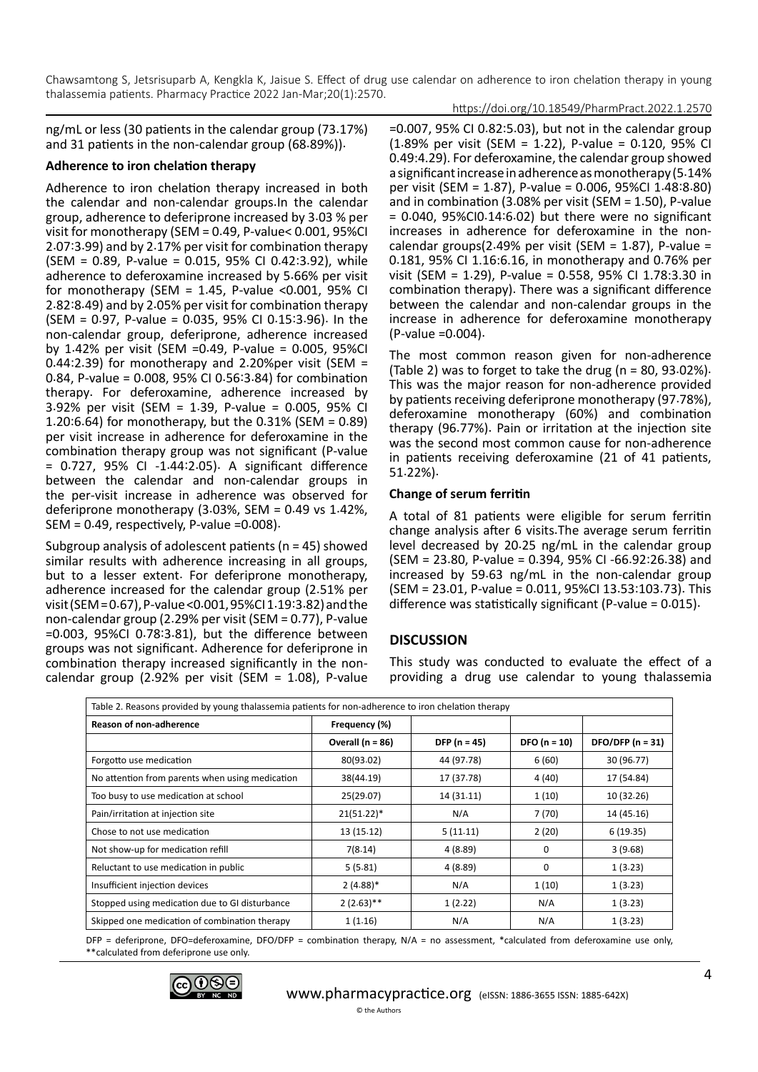https://doi.org/10.18549/PharmPract.2022.1.2570

ng/mL or less (30 patients in the calendar group (73.17%) and 31 patients in the non-calendar group (68.89%)).

#### **Adherence to iron chelation therapy**

Adherence to iron chelation therapy increased in both the calendar and non-calendar groups.In the calendar group, adherence to deferiprone increased by 3.03 % per visit for monotherapy (SEM = 0.49, P-value< 0.001, 95%CI 2.07:3.99) and by 2.17% per visit for combination therapy (SEM = 0.89, P-value = 0.015, 95% CI 0.42:3.92), while adherence to deferoxamine increased by 5.66% per visit for monotherapy (SEM =  $1.45$ , P-value <0.001, 95% CI 2.82:8.49) and by 2.05% per visit for combination therapy (SEM = 0.97, P-value = 0.035, 95% CI 0.15:3.96). In the non-calendar group, deferiprone, adherence increased by 1.42% per visit (SEM =0.49, P-value = 0.005, 95%CI 0.44:2.39) for monotherapy and 2.20%per visit (SEM = 0.84, P-value = 0.008, 95% CI 0.56:3.84) for combination therapy. For deferoxamine, adherence increased by 3.92% per visit (SEM = 1.39, P-value = 0.005, 95% CI 1.20:6.64) for monotherapy, but the 0.31% (SEM = 0.89) per visit increase in adherence for deferoxamine in the combination therapy group was not significant (P-value = 0.727, 95% CI -1.44:2.05). A significant difference between the calendar and non-calendar groups in the per-visit increase in adherence was observed for deferiprone monotherapy (3.03%, SEM = 0.49 vs 1.42%,  $SEM = 0.49$ , respectively, P-value =  $0.008$ ).

Subgroup analysis of adolescent patients (n = 45) showed similar results with adherence increasing in all groups, but to a lesser extent. For deferiprone monotherapy, adherence increased for the calendar group (2.51% per visit (SEM = 0.67), P-value <0.001, 95%CI 1.19:3.82) and the non-calendar group (2.29% per visit (SEM = 0.77), P-value =0.003, 95%CI 0.78:3.81), but the difference between groups was not significant. Adherence for deferiprone in combination therapy increased significantly in the noncalendar group (2.92% per visit (SEM = 1.08), P-value

=0.007, 95% CI 0.82:5.03), but not in the calendar group (1.89% per visit (SEM = 1.22), P-value = 0.120, 95% CI 0.49:4.29). For deferoxamine, the calendar group showed a significant increase in adherence as monotherapy (5.14% per visit (SEM = 1.87), P-value = 0.006, 95%CI 1.48:8.80) and in combination (3.08% per visit (SEM = 1.50), P-value  $= 0.040, 95\%$ CIO $.14:6.02$ ) but there were no significant increases in adherence for deferoxamine in the noncalendar groups(2.49% per visit (SEM =  $1.87$ ), P-value = 0.181, 95% CI 1.16:6.16, in monotherapy and 0.76% per visit (SEM = 1.29), P-value = 0.558, 95% CI 1.78:3.30 in combination therapy). There was a significant difference between the calendar and non-calendar groups in the increase in adherence for deferoxamine monotherapy (P-value =0.004).

The most common reason given for non-adherence (Table 2) was to forget to take the drug ( $n = 80$ , 93.02%). This was the major reason for non-adherence provided by patients receiving deferiprone monotherapy (97.78%), deferoxamine monotherapy (60%) and combination therapy (96.77%). Pain or irritation at the injection site was the second most common cause for non-adherence in patients receiving deferoxamine (21 of 41 patients, 51.22%).

## **Change of serum ferritin**

A total of 81 patients were eligible for serum ferritin change analysis after 6 visits.The average serum ferritin level decreased by 20.25 ng/mL in the calendar group (SEM = 23.80, P-value = 0.394, 95% CI -66.92:26.38) and increased by 59.63 ng/mL in the non-calendar group (SEM = 23.01, P-value = 0.011, 95%CI 13.53:103.73). This difference was statistically significant (P-value = 0.015).

## **DISCUSSION**

This study was conducted to evaluate the effect of a providing a drug use calendar to young thalassemia

| Table 2. Reasons provided by young thalassemia patients for non-adherence to iron chelation therapy |                      |                  |                |                    |  |  |
|-----------------------------------------------------------------------------------------------------|----------------------|------------------|----------------|--------------------|--|--|
| Reason of non-adherence                                                                             | Frequency (%)        |                  |                |                    |  |  |
|                                                                                                     | Overall ( $n = 86$ ) | DFP ( $n = 45$ ) | $DFO (n = 10)$ | DFO/DFP $(n = 31)$ |  |  |
| Forgotto use medication                                                                             | 80(93.02)            | 44 (97.78)       | 6(60)          | 30 (96.77)         |  |  |
| No attention from parents when using medication                                                     | 38(44.19)            | 17 (37.78)       | 4 (40)         | 17 (54.84)         |  |  |
| Too busy to use medication at school                                                                | 25(29.07)            | 14 (31.11)       | 1(10)          | 10 (32.26)         |  |  |
| Pain/irritation at injection site                                                                   | $21(51.22)^*$        | N/A              | 7(70)          | 14 (45.16)         |  |  |
| Chose to not use medication                                                                         | 13 (15.12)           | 5(11.11)         | 2(20)          | 6(19.35)           |  |  |
| Not show-up for medication refill                                                                   | 7(8.14)              | 4(8.89)          | 0              | 3(9.68)            |  |  |
| Reluctant to use medication in public                                                               | 5(5.81)              | 4(8.89)          | 0              | 1(3.23)            |  |  |
| Insufficient injection devices                                                                      | $2(4.88)$ *          | N/A              | 1(10)          | 1(3.23)            |  |  |
| Stopped using medication due to GI disturbance                                                      | $2(2.63)$ **         | 1(2.22)          | N/A            | 1(3.23)            |  |  |
| Skipped one medication of combination therapy                                                       | 1(1.16)              | N/A              | N/A            | 1(3.23)            |  |  |

DFP = deferiprone, DFO=deferoxamine, DFO/DFP = combination therapy, N/A = no assessment, \*calculated from deferoxamine use only, \*\*calculated from deferiprone use only.

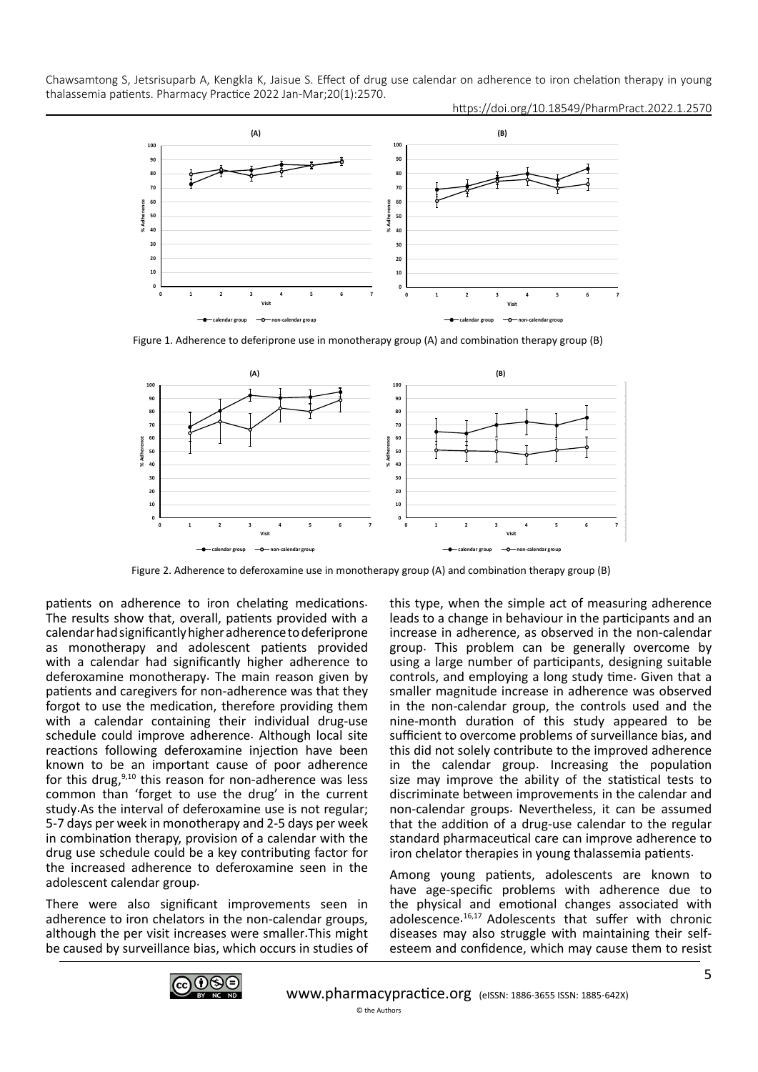https://doi.org/10.18549/PharmPract.2022.1.2570



Figure 1. Adherence to deferiprone use in monotherapy group (A) and combination therapy group (B)



Figure 2. Adherence to deferoxamine use in monotherapy group (A) and combination therapy group (B)

patients on adherence to iron chelating medications. The results show that, overall, patients provided with a calendar had significantly higher adherence to deferiprone as monotherapy and adolescent patients provided with a calendar had significantly higher adherence to deferoxamine monotherapy. The main reason given by patients and caregivers for non-adherence was that they forgot to use the medication, therefore providing them with a calendar containing their individual drug-use schedule could improve adherence. Although local site reactions following deferoxamine injection have been known to be an important cause of poor adherence for this drug, $9,10$  this reason for non-adherence was less common than 'forget to use the drug' in the current study.As the interval of deferoxamine use is not regular; 5-7 days per week in monotherapy and 2-5 days per week in combination therapy, provision of a calendar with the drug use schedule could be a key contributing factor for the increased adherence to deferoxamine seen in the adolescent calendar group.

There were also significant improvements seen in adherence to iron chelators in the non-calendar groups, although the per visit increases were smaller.This might be caused by surveillance bias, which occurs in studies of this type, when the simple act of measuring adherence leads to a change in behaviour in the participants and an increase in adherence, as observed in the non-calendar group. This problem can be generally overcome by using a large number of participants, designing suitable controls, and employing a long study time. Given that a smaller magnitude increase in adherence was observed in the non-calendar group, the controls used and the nine-month duration of this study appeared to be sufficient to overcome problems of surveillance bias, and this did not solely contribute to the improved adherence in the calendar group. Increasing the population size may improve the ability of the statistical tests to discriminate between improvements in the calendar and non-calendar groups. Nevertheless, it can be assumed that the addition of a drug-use calendar to the regular standard pharmaceutical care can improve adherence to iron chelator therapies in young thalassemia patients.

Among young patients, adolescents are known to have age-specific problems with adherence due to the physical and emotional changes associated with adolescence. 16,17 Adolescents that suffer with chronic diseases may also struggle with maintaining their selfesteem and confidence, which may cause them to resist

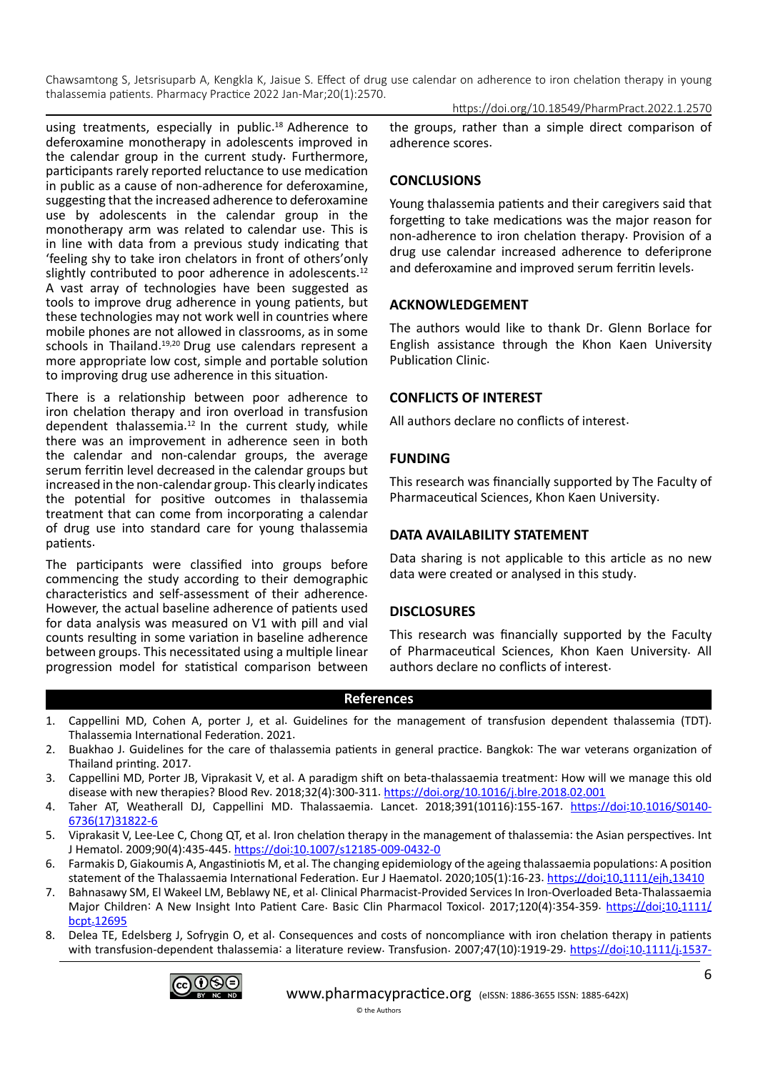Chawsamtong S, Jetsrisuparb A, Kengkla K, Jaisue S. Effect of drug use calendar on adherence to iron chelation therapy in young thalassemia patients. Pharmacy Practice 2022 Jan-Mar;20(1):2570. https://doi.org/10.18549/PharmPract.2022.1.2570

using treatments, especially in public.<sup>18</sup> Adherence to deferoxamine monotherapy in adolescents improved in the calendar group in the current study. Furthermore, participants rarely reported reluctance to use medication in public as a cause of non-adherence for deferoxamine, suggesting that the increased adherence to deferoxamine use by adolescents in the calendar group in the monotherapy arm was related to calendar use. This is in line with data from a previous study indicating that 'feeling shy to take iron chelators in front of others'only slightly contributed to poor adherence in adolescents.<sup>12</sup> A vast array of technologies have been suggested as tools to improve drug adherence in young patients, but these technologies may not work well in countries where mobile phones are not allowed in classrooms, as in some schools in Thailand.<sup>19,20</sup> Drug use calendars represent a more appropriate low cost, simple and portable solution to improving drug use adherence in this situation.

There is a relationship between poor adherence to iron chelation therapy and iron overload in transfusion dependent thalassemia.<sup>12</sup> In the current study, while there was an improvement in adherence seen in both the calendar and non-calendar groups, the average serum ferritin level decreased in the calendar groups but increased in the non-calendar group. This clearly indicates the potential for positive outcomes in thalassemia treatment that can come from incorporating a calendar of drug use into standard care for young thalassemia patients.

The participants were classified into groups before commencing the study according to their demographic characteristics and self-assessment of their adherence. However, the actual baseline adherence of patients used for data analysis was measured on V1 with pill and vial counts resulting in some variation in baseline adherence between groups. This necessitated using a multiple linear progression model for statistical comparison between the groups, rather than a simple direct comparison of adherence scores.

# **CONCLUSIONS**

Young thalassemia patients and their caregivers said that forgetting to take medications was the major reason for non-adherence to iron chelation therapy. Provision of a drug use calendar increased adherence to deferiprone and deferoxamine and improved serum ferritin levels.

## **ACKNOWLEDGEMENT**

The authors would like to thank Dr. Glenn Borlace for English assistance through the Khon Kaen University Publication Clinic.

## **CONFLICTS OF INTEREST**

All authors declare no conflicts of interest.

## **FUNDING**

This research was financially supported by The Faculty of Pharmaceutical Sciences, Khon Kaen University.

## **DATA AVAILABILITY STATEMENT**

Data sharing is not applicable to this article as no new data were created or analysed in this study.

# **DISCLOSURES**

This research was financially supported by the Faculty of Pharmaceutical Sciences, Khon Kaen University. All authors declare no conflicts of interest.

#### **References**

- 1. Cappellini MD, Cohen A, porter J, et al. Guidelines for the management of transfusion dependent thalassemia (TDT). Thalassemia International Federation. 2021.
- 2. Buakhao J. Guidelines for the care of thalassemia patients in general practice. Bangkok: The war veterans organization of Thailand printing. 2017.
- 3. Cappellini MD, Porter JB, Viprakasit V, et al. A paradigm shift on beta-thalassaemia treatment: How will we manage this old disease with new therapies? Blood Rev. 2018;32(4):300-311. [https://doi](https://doi.org/10.1016/j.blre.2018.02.001).org/10.1016/j.blre.2018.02.001
- 4. Taher AT, Weatherall DJ, Cappellini MD. Thalassaemia. Lancet. 2018;391(10116):155-167. [https://doi:10](https://doi:10.1016/S0140-6736(17)31822-6).1016/S0140- [6736\(17\)31822-6](https://doi:10.1016/S0140-6736(17)31822-6)
- 5. Viprakasit V, Lee-Lee C, Chong QT, et al. Iron chelation therapy in the management of thalassemia: the Asian perspectives. Int J Hematol. 2009;90(4):435-445. https://doi:10.[1007/s12185-009-0432-0](https://doi:10.1007/s12185-009-0432-0)
- 6. Farmakis D, Giakoumis A, Angastiniotis M, et al. The changing epidemiology of the ageing thalassaemia populations: A position statement of the Thalassaemia International Federation. Eur J Haematol. 2020;105(1):16-23. [https://doi:10](https://doi:10.1111/ejh.13410).1111/ejh.13410
- 7. Bahnasawy SM, El Wakeel LM, Beblawy NE, et al. Clinical Pharmacist-Provided Services In Iron-Overloaded Beta-Thalassaemia Major Children: A New Insight Into Patient Care. Basic Clin Pharmacol Toxicol. 2017;120(4):354-359. [https://doi:10](https://doi:10.1111/bcpt.12695).1111/ bcpt.[12695](https://doi:10.1111/bcpt.12695)
- 8. Delea TE, Edelsberg J, Sofrygin O, et al. Consequences and costs of noncompliance with iron chelation therapy in patients with transfusion-dependent thalassemia: a literature review. Transfusion. 2007;47(10):1919-29. [https://doi:10](https://doi:10.1111/j.1537-2995.2007.01416.x).1111/j.1537-